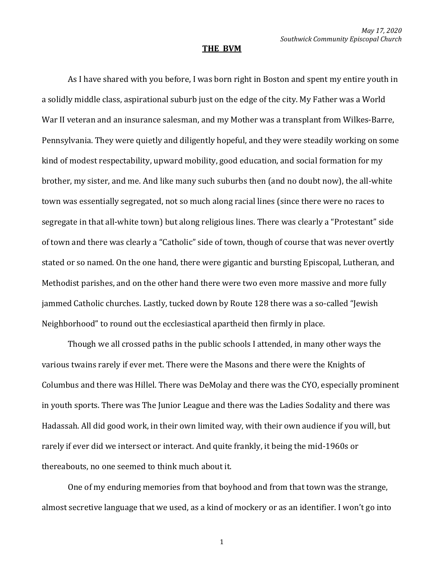## **THE BVM**

As I have shared with you before, I was born right in Boston and spent my entire youth in a solidly middle class, aspirational suburb just on the edge of the city. My Father was a World War II veteran and an insurance salesman, and my Mother was a transplant from Wilkes-Barre, Pennsylvania. They were quietly and diligently hopeful, and they were steadily working on some kind of modest respectability, upward mobility, good education, and social formation for my brother, my sister, and me. And like many such suburbs then (and no doubt now), the all-white town was essentially segregated, not so much along racial lines (since there were no races to segregate in that all-white town) but along religious lines. There was clearly a "Protestant" side of town and there was clearly a "Catholic" side of town, though of course that was never overtly stated or so named. On the one hand, there were gigantic and bursting Episcopal, Lutheran, and Methodist parishes, and on the other hand there were two even more massive and more fully jammed Catholic churches. Lastly, tucked down by Route 128 there was a so-called "Jewish Neighborhood" to round out the ecclesiastical apartheid then firmly in place.

Though we all crossed paths in the public schools I attended, in many other ways the various twains rarely if ever met. There were the Masons and there were the Knights of Columbus and there was Hillel. There was DeMolay and there was the CYO, especially prominent in youth sports. There was The Junior League and there was the Ladies Sodality and there was Hadassah. All did good work, in their own limited way, with their own audience if you will, but rarely if ever did we intersect or interact. And quite frankly, it being the mid-1960s or thereabouts, no one seemed to think much about it.

One of my enduring memories from that boyhood and from that town was the strange, almost secretive language that we used, as a kind of mockery or as an identifier. I won't go into

1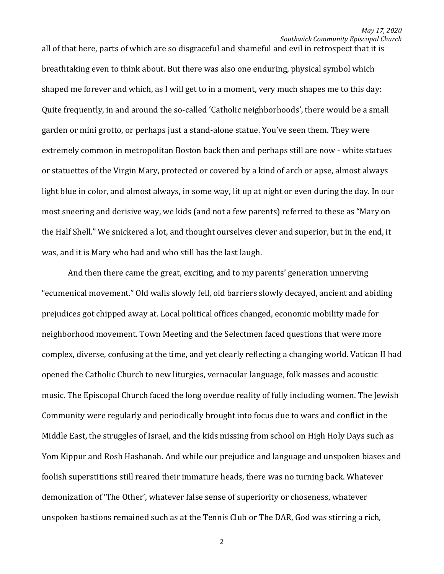all of that here, parts of which are so disgraceful and shameful and evil in retrospect that it is breathtaking even to think about. But there was also one enduring, physical symbol which shaped me forever and which, as I will get to in a moment, very much shapes me to this day: Quite frequently, in and around the so-called 'Catholic neighborhoods', there would be a small garden or mini grotto, or perhaps just a stand-alone statue. You've seen them. They were extremely common in metropolitan Boston back then and perhaps still are now - white statues or statuettes of the Virgin Mary, protected or covered by a kind of arch or apse, almost always light blue in color, and almost always, in some way, lit up at night or even during the day. In our most sneering and derisive way, we kids (and not a few parents) referred to these as "Mary on the Half Shell." We snickered a lot, and thought ourselves clever and superior, but in the end, it was, and it is Mary who had and who still has the last laugh.

And then there came the great, exciting, and to my parents' generation unnerving "ecumenical movement." Old walls slowly fell, old barriers slowly decayed, ancient and abiding prejudices got chipped away at. Local political offices changed, economic mobility made for neighborhood movement. Town Meeting and the Selectmen faced questions that were more complex, diverse, confusing at the time, and yet clearly reflecting a changing world. Vatican II had opened the Catholic Church to new liturgies, vernacular language, folk masses and acoustic music. The Episcopal Church faced the long overdue reality of fully including women. The Jewish Community were regularly and periodically brought into focus due to wars and conflict in the Middle East, the struggles of Israel, and the kids missing from school on High Holy Days such as Yom Kippur and Rosh Hashanah. And while our prejudice and language and unspoken biases and foolish superstitions still reared their immature heads, there was no turning back. Whatever demonization of 'The Other', whatever false sense of superiority or choseness, whatever unspoken bastions remained such as at the Tennis Club or The DAR, God was stirring a rich,

2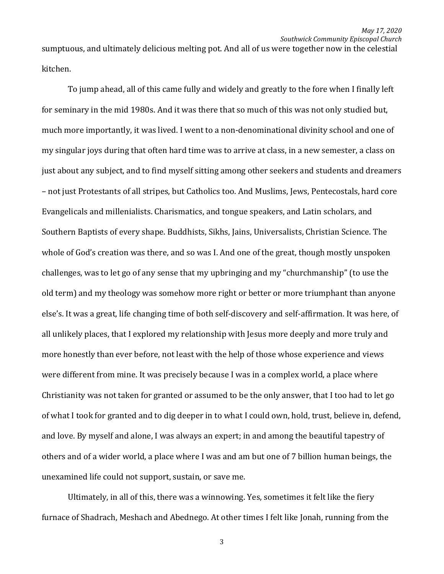sumptuous, and ultimately delicious melting pot. And all of us were together now in the celestial kitchen.

To jump ahead, all of this came fully and widely and greatly to the fore when I finally left for seminary in the mid 1980s. And it was there that so much of this was not only studied but, much more importantly, it was lived. I went to a non-denominational divinity school and one of my singular joys during that often hard time was to arrive at class, in a new semester, a class on just about any subject, and to find myself sitting among other seekers and students and dreamers – not just Protestants of all stripes, but Catholics too. And Muslims, Jews, Pentecostals, hard core Evangelicals and millenialists. Charismatics, and tongue speakers, and Latin scholars, and Southern Baptists of every shape. Buddhists, Sikhs, Jains, Universalists, Christian Science. The whole of God's creation was there, and so was I. And one of the great, though mostly unspoken challenges, was to let go of any sense that my upbringing and my "churchmanship" (to use the old term) and my theology was somehow more right or better or more triumphant than anyone else's. It was a great, life changing time of both self-discovery and self-affirmation. It was here, of all unlikely places, that I explored my relationship with Jesus more deeply and more truly and more honestly than ever before, not least with the help of those whose experience and views were different from mine. It was precisely because I was in a complex world, a place where Christianity was not taken for granted or assumed to be the only answer, that I too had to let go of what I took for granted and to dig deeper in to what I could own, hold, trust, believe in, defend, and love. By myself and alone, I was always an expert; in and among the beautiful tapestry of others and of a wider world, a place where I was and am but one of 7 billion human beings, the unexamined life could not support, sustain, or save me.

Ultimately, in all of this, there was a winnowing. Yes, sometimes it felt like the fiery furnace of Shadrach, Meshach and Abednego. At other times I felt like Jonah, running from the

3